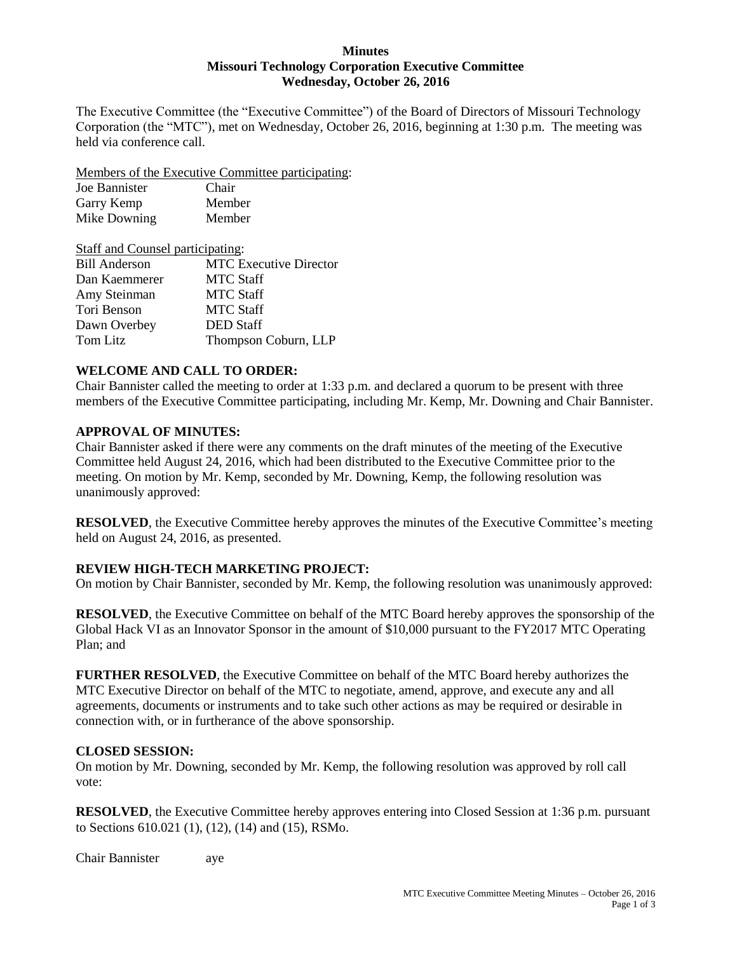#### **Minutes Missouri Technology Corporation Executive Committee Wednesday, October 26, 2016**

The Executive Committee (the "Executive Committee") of the Board of Directors of Missouri Technology Corporation (the "MTC"), met on Wednesday, October 26, 2016, beginning at 1:30 p.m. The meeting was held via conference call.

Members of the Executive Committee participating:

| Joe Bannister | Chair  |
|---------------|--------|
| Garry Kemp    | Member |
| Mike Downing  | Member |

| <b>Staff and Counsel participating:</b> |                               |  |
|-----------------------------------------|-------------------------------|--|
| <b>Bill Anderson</b>                    | <b>MTC</b> Executive Director |  |
| Dan Kaemmerer                           | <b>MTC Staff</b>              |  |
| Amy Steinman                            | <b>MTC Staff</b>              |  |
| Tori Benson                             | <b>MTC Staff</b>              |  |
| Dawn Overbey                            | <b>DED</b> Staff              |  |
| Tom Litz                                | Thompson Coburn, LLP          |  |

## **WELCOME AND CALL TO ORDER:**

Chair Bannister called the meeting to order at 1:33 p.m. and declared a quorum to be present with three members of the Executive Committee participating, including Mr. Kemp, Mr. Downing and Chair Bannister.

### **APPROVAL OF MINUTES:**

Chair Bannister asked if there were any comments on the draft minutes of the meeting of the Executive Committee held August 24, 2016, which had been distributed to the Executive Committee prior to the meeting. On motion by Mr. Kemp, seconded by Mr. Downing, Kemp, the following resolution was unanimously approved:

**RESOLVED**, the Executive Committee hereby approves the minutes of the Executive Committee's meeting held on August 24, 2016, as presented.

# **REVIEW HIGH-TECH MARKETING PROJECT:**

On motion by Chair Bannister, seconded by Mr. Kemp, the following resolution was unanimously approved:

**RESOLVED**, the Executive Committee on behalf of the MTC Board hereby approves the sponsorship of the Global Hack VI as an Innovator Sponsor in the amount of \$10,000 pursuant to the FY2017 MTC Operating Plan; and

**FURTHER RESOLVED**, the Executive Committee on behalf of the MTC Board hereby authorizes the MTC Executive Director on behalf of the MTC to negotiate, amend, approve, and execute any and all agreements, documents or instruments and to take such other actions as may be required or desirable in connection with, or in furtherance of the above sponsorship.

### **CLOSED SESSION:**

On motion by Mr. Downing, seconded by Mr. Kemp, the following resolution was approved by roll call vote:

**RESOLVED**, the Executive Committee hereby approves entering into Closed Session at 1:36 p.m. pursuant to Sections 610.021 (1), (12), (14) and (15), RSMo.

Chair Bannister aye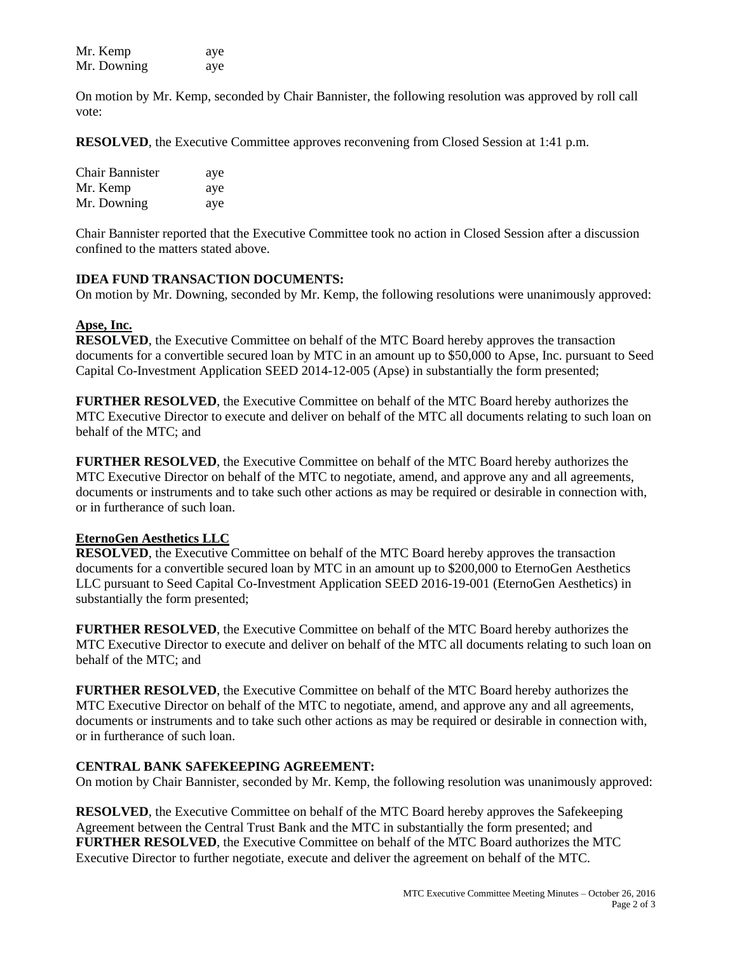| Mr. Kemp    | aye |
|-------------|-----|
| Mr. Downing | aye |

On motion by Mr. Kemp, seconded by Chair Bannister, the following resolution was approved by roll call vote:

**RESOLVED**, the Executive Committee approves reconvening from Closed Session at 1:41 p.m.

| <b>Chair Bannister</b> | aye |
|------------------------|-----|
| Mr. Kemp               | aye |
| Mr. Downing            | aye |

Chair Bannister reported that the Executive Committee took no action in Closed Session after a discussion confined to the matters stated above.

#### **IDEA FUND TRANSACTION DOCUMENTS:**

On motion by Mr. Downing, seconded by Mr. Kemp, the following resolutions were unanimously approved:

#### **Apse, Inc.**

**RESOLVED**, the Executive Committee on behalf of the MTC Board hereby approves the transaction documents for a convertible secured loan by MTC in an amount up to \$50,000 to Apse, Inc. pursuant to Seed Capital Co-Investment Application SEED 2014-12-005 (Apse) in substantially the form presented;

**FURTHER RESOLVED**, the Executive Committee on behalf of the MTC Board hereby authorizes the MTC Executive Director to execute and deliver on behalf of the MTC all documents relating to such loan on behalf of the MTC; and

**FURTHER RESOLVED**, the Executive Committee on behalf of the MTC Board hereby authorizes the MTC Executive Director on behalf of the MTC to negotiate, amend, and approve any and all agreements, documents or instruments and to take such other actions as may be required or desirable in connection with, or in furtherance of such loan.

### **EternoGen Aesthetics LLC**

**RESOLVED**, the Executive Committee on behalf of the MTC Board hereby approves the transaction documents for a convertible secured loan by MTC in an amount up to \$200,000 to EternoGen Aesthetics LLC pursuant to Seed Capital Co-Investment Application SEED 2016-19-001 (EternoGen Aesthetics) in substantially the form presented;

**FURTHER RESOLVED**, the Executive Committee on behalf of the MTC Board hereby authorizes the MTC Executive Director to execute and deliver on behalf of the MTC all documents relating to such loan on behalf of the MTC; and

**FURTHER RESOLVED**, the Executive Committee on behalf of the MTC Board hereby authorizes the MTC Executive Director on behalf of the MTC to negotiate, amend, and approve any and all agreements, documents or instruments and to take such other actions as may be required or desirable in connection with, or in furtherance of such loan.

#### **CENTRAL BANK SAFEKEEPING AGREEMENT:**

On motion by Chair Bannister, seconded by Mr. Kemp, the following resolution was unanimously approved:

**RESOLVED**, the Executive Committee on behalf of the MTC Board hereby approves the Safekeeping Agreement between the Central Trust Bank and the MTC in substantially the form presented; and **FURTHER RESOLVED**, the Executive Committee on behalf of the MTC Board authorizes the MTC Executive Director to further negotiate, execute and deliver the agreement on behalf of the MTC.